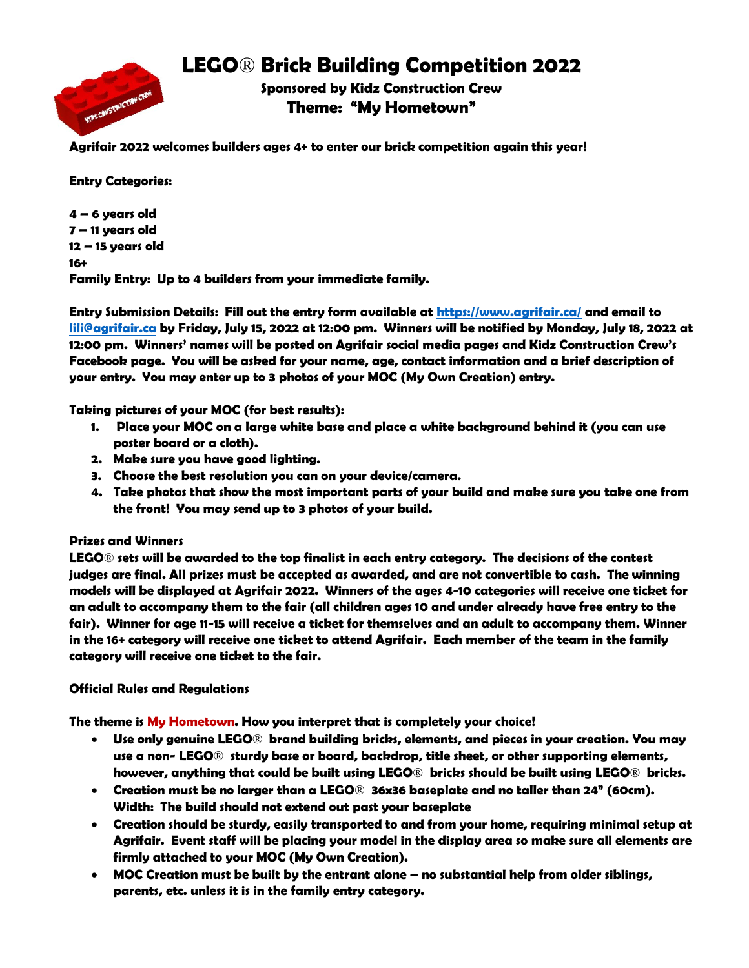

**LEGO**® **Brick Building Competition 2022**

**Sponsored by Kidz Construction Crew Theme: "My Hometown"**

**Agrifair 2022 welcomes builders ages 4+ to enter our brick competition again this year!**

**Entry Categories:**

**4 – 6 years old 7 – 11 years old 12 – 15 years old 16+ Family Entry: Up to 4 builders from your immediate family.**

**Entry Submission Details: Fill out the entry form available at<https://www.agrifair.ca/> and email to [lili@agrifair.ca](mailto:lili@agrifair.ca) by Friday, July 15, 2022 at 12:00 pm. Winners will be notified by Monday, July 18, 2022 at 12:00 pm. Winners' names will be posted on Agrifair social media pages and Kidz Construction Crew's Facebook page. You will be asked for your name, age, contact information and a brief description of your entry. You may enter up to 3 photos of your MOC (My Own Creation) entry.**

**Taking pictures of your MOC (for best results):**

- **1. Place your MOC on a large white base and place a white background behind it (you can use poster board or a cloth).**
- **2. Make sure you have good lighting.**
- **3. Choose the best resolution you can on your device/camera.**
- **4. Take photos that show the most important parts of your build and make sure you take one from the front! You may send up to 3 photos of your build.**

## **Prizes and Winners**

**LEGO**® **sets will be awarded to the top finalist in each entry category. The decisions of the contest judges are final. All prizes must be accepted as awarded, and are not convertible to cash. The winning models will be displayed at Agrifair 2022. Winners of the ages 4-10 categories will receive one ticket for an adult to accompany them to the fair (all children ages 10 and under already have free entry to the fair). Winner for age 11-15 will receive a ticket for themselves and an adult to accompany them. Winner in the 16+ category will receive one ticket to attend Agrifair. Each member of the team in the family category will receive one ticket to the fair.**

## **Official Rules and Regulations**

**The theme is My Hometown. How you interpret that is completely your choice!**

- **Use only genuine LEGO**® **brand building bricks, elements, and pieces in your creation. You may use a non- LEGO**® **sturdy base or board, backdrop, title sheet, or other supporting elements, however, anything that could be built using LEGO**® **bricks should be built using LEGO**® **bricks.**
- **Creation must be no larger than a LEGO**® **36x36 baseplate and no taller than 24" (60cm). Width: The build should not extend out past your baseplate**
- **Creation should be sturdy, easily transported to and from your home, requiring minimal setup at Agrifair. Event staff will be placing your model in the display area so make sure all elements are firmly attached to your MOC (My Own Creation).**
- **MOC Creation must be built by the entrant alone – no substantial help from older siblings, parents, etc. unless it is in the family entry category.**